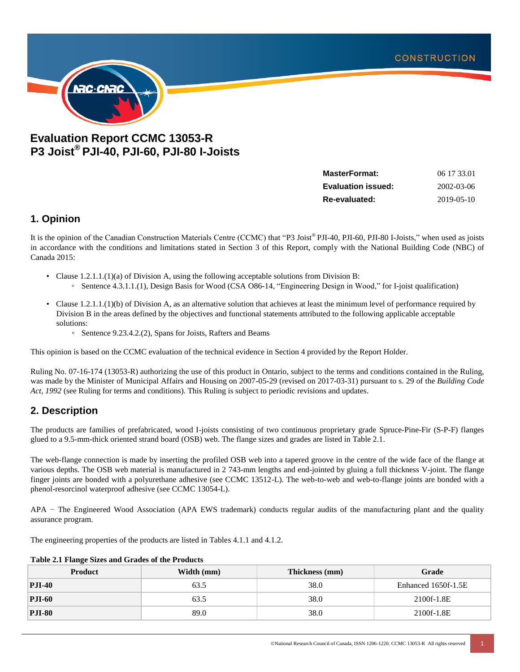

# **Evaluation Report CCMC 13053-R P3 Joist® PJI-40, PJI-60, PJI-80 I-Joists**

| <b>MasterFormat:</b>      | 06 17 33.01 |
|---------------------------|-------------|
| <b>Evaluation issued:</b> | 2002-03-06  |
| Re-evaluated:             | 2019-05-10  |

## **1. Opinion**

It is the opinion of the Canadian Construction Materials Centre (CCMC) that "P3 Joist® PJI-40, PJI-60, PJI-80 I-Joists," when used as joists in accordance with the conditions and limitations stated in Section 3 of this Report, comply with the National Building Code (NBC) of Canada 2015:

- Clause 1.2.1.1.(1)(a) of Division A, using the following acceptable solutions from Division B:
	- Sentence 4.3.1.1.(1), Design Basis for Wood (CSA O86-14, "Engineering Design in Wood," for I-joist qualification)
- Clause 1.2.1.1.(1)(b) of Division A, as an alternative solution that achieves at least the minimum level of performance required by Division B in the areas defined by the objectives and functional statements attributed to the following applicable acceptable solutions:
	- Sentence 9.23.4.2.(2), Spans for Joists, Rafters and Beams

This opinion is based on the CCMC evaluation of the technical evidence in Section 4 provided by the Report Holder.

Ruling No. 07-16-174 (13053-R) authorizing the use of this product in Ontario, subject to the terms and conditions contained in the Ruling, was made by the Minister of Municipal Affairs and Housing on 2007-05-29 (revised on 2017-03-31) pursuant to s. 29 of the *Building Code Act, 1992* (see Ruling for terms and conditions). This Ruling is subject to periodic revisions and updates.

## **2. Description**

The products are families of prefabricated, wood I-joists consisting of two continuous proprietary grade Spruce-Pine-Fir (S-P-F) flanges glued to a 9.5-mm-thick oriented strand board (OSB) web. The flange sizes and grades are listed in Table 2.1.

The web-flange connection is made by inserting the profiled OSB web into a tapered groove in the centre of the wide face of the flange at various depths. The OSB web material is manufactured in 2 743-mm lengths and end-jointed by gluing a full thickness V-joint. The flange finger joints are bonded with a polyurethane adhesive (see CCMC 13512-L). The web-to-web and web-to-flange joints are bonded with a phenol-resorcinol waterproof adhesive (see CCMC 13054-L).

APA − The Engineered Wood Association (APA EWS trademark) conducts regular audits of the manufacturing plant and the quality assurance program.

The engineering properties of the products are listed in Tables 4.1.1 and 4.1.2.

| <b>Product</b> | Width (mm)<br>Thickness (mm) |      | Grade               |  |  |  |  |
|----------------|------------------------------|------|---------------------|--|--|--|--|
| <b>PJI-40</b>  | 63.5                         | 38.0 | Enhanced 1650f-1.5E |  |  |  |  |
| <b>PJI-60</b>  | 63.5                         | 38.0 | 2100f-1.8E          |  |  |  |  |
| <b>PJI-80</b>  | 89.0                         | 38.0 | 2100f-1.8E          |  |  |  |  |

#### **Table 2.1 Flange Sizes and Grades of the Products**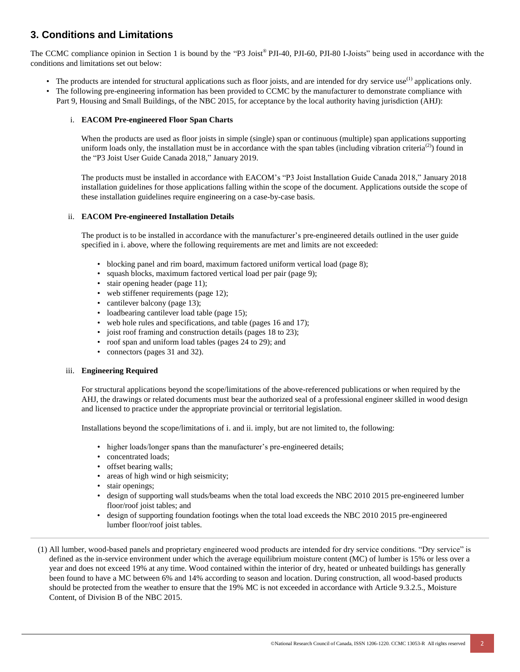# **3. Conditions and Limitations**

The CCMC compliance opinion in Section 1 is bound by the "P3 Joist® PJI-40, PJI-60, PJI-80 I-Joists" being used in accordance with the conditions and limitations set out below:

- The products are intended for structural applications such as floor joists, and are intended for dry service use<sup>(1)</sup> applications only.
- The following pre-engineering information has been provided to CCMC by the manufacturer to demonstrate compliance with Part 9, Housing and Small Buildings, of the NBC 2015, for acceptance by the local authority having jurisdiction (AHJ):

### i. **EACOM Pre-engineered Floor Span Charts**

When the products are used as floor joists in simple (single) span or continuous (multiple) span applications supporting uniform loads only, the installation must be in accordance with the span tables (including vibration criteria<sup>(2)</sup>) found in the "P3 Joist User Guide Canada 2018," January 2019.

The products must be installed in accordance with EACOM's "P3 Joist Installation Guide Canada 2018," January 2018 installation guidelines for those applications falling within the scope of the document. Applications outside the scope of these installation guidelines require engineering on a case-by-case basis.

### ii. **EACOM Pre-engineered Installation Details**

The product is to be installed in accordance with the manufacturer's pre-engineered details outlined in the user guide specified in i. above, where the following requirements are met and limits are not exceeded:

- blocking panel and rim board, maximum factored uniform vertical load (page 8);
- squash blocks, maximum factored vertical load per pair (page 9);
- stair opening header (page 11);
- web stiffener requirements (page 12);
- cantilever balcony (page 13);
- loadbearing cantilever load table (page 15);
- web hole rules and specifications, and table (pages 16 and 17);
- joist roof framing and construction details (pages 18 to 23);
- roof span and uniform load tables (pages 24 to 29); and
- connectors (pages 31 and 32).

### iii. **Engineering Required**

For structural applications beyond the scope/limitations of the above-referenced publications or when required by the AHJ, the drawings or related documents must bear the authorized seal of a professional engineer skilled in wood design and licensed to practice under the appropriate provincial or territorial legislation.

Installations beyond the scope/limitations of i. and ii. imply, but are not limited to, the following:

- higher loads/longer spans than the manufacturer's pre-engineered details;
- concentrated loads;
- offset bearing walls;
- areas of high wind or high seismicity;
- stair openings;
- design of supporting wall studs/beams when the total load exceeds the NBC 2010 2015 pre-engineered lumber floor/roof joist tables; and
- design of supporting foundation footings when the total load exceeds the NBC 2010 2015 pre-engineered lumber floor/roof joist tables.

(1) All lumber, wood-based panels and proprietary engineered wood products are intended for dry service conditions. "Dry service" is defined as the in-service environment under which the average equilibrium moisture content (MC) of lumber is 15% or less over a year and does not exceed 19% at any time. Wood contained within the interior of dry, heated or unheated buildings has generally been found to have a MC between 6% and 14% according to season and location. During construction, all wood-based products should be protected from the weather to ensure that the 19% MC is not exceeded in accordance with Article 9.3.2.5., Moisture Content, of Division B of the NBC 2015.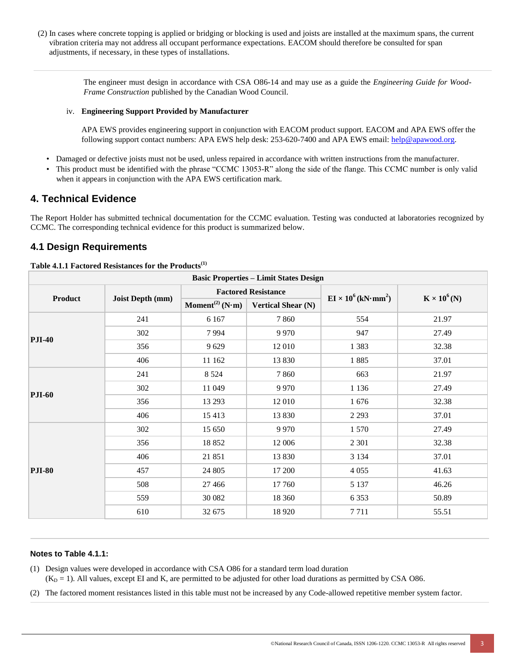(2) In cases where concrete topping is applied or bridging or blocking is used and joists are installed at the maximum spans, the current vibration criteria may not address all occupant performance expectations. EACOM should therefore be consulted for span adjustments, if necessary, in these types of installations.

> The engineer must design in accordance with CSA O86-14 and may use as a guide the *Engineering Guide for Wood-Frame Construction* published by the Canadian Wood Council.

### iv. **Engineering Support Provided by Manufacturer**

APA EWS provides engineering support in conjunction with EACOM product support. EACOM and APA EWS offer the following support contact numbers: APA EWS help desk: 253-620-7400 and APA EWS email: [help@apawood.org.](mailto:help@apawood.org)

- Damaged or defective joists must not be used, unless repaired in accordance with written instructions from the manufacturer.
- This product must be identified with the phrase "CCMC 13053-R" along the side of the flange. This CCMC number is only valid when it appears in conjunction with the APA EWS certification mark.

## **4. Technical Evidence**

The Report Holder has submitted technical documentation for the CCMC evaluation. Testing was conducted at laboratories recognized by CCMC. The corresponding technical evidence for this product is summarized below.

## **4.1 Design Requirements**

| <b>Basic Properties - Limit States Design</b> |                  |                                                          |                            |                                  |                     |  |
|-----------------------------------------------|------------------|----------------------------------------------------------|----------------------------|----------------------------------|---------------------|--|
| <b>Product</b>                                |                  |                                                          | <b>Factored Resistance</b> | $EI \times 10^6 (kN \cdot mm^2)$ |                     |  |
|                                               | Joist Depth (mm) | Moment <sup>(2)</sup> (N·m)<br><b>Vertical Shear (N)</b> |                            |                                  | $K \times 10^6$ (N) |  |
| <b>PJI-40</b>                                 | 241              | 6 1 6 7                                                  | 7860                       | 554                              | 21.97               |  |
|                                               | 302              | 7994                                                     | 9 9 7 0                    | 947                              | 27.49               |  |
|                                               | 356              | 9629                                                     | 12 010                     | 1 3 8 3                          | 32.38               |  |
|                                               | 406              | 11 162                                                   | 13 830                     | 1885                             | 37.01               |  |
| <b>PJI-60</b>                                 | 241              | 8 5 2 4                                                  | 7860                       | 663                              | 21.97               |  |
|                                               | 302              | 11 049                                                   | 9 9 7 0                    | 1 1 3 6                          | 27.49               |  |
|                                               | 356              | 13 29 3                                                  | 12 010                     | 1676                             | 32.38               |  |
|                                               | 406              | 15 4 13                                                  | 13 830                     | 2 2 9 3                          | 37.01               |  |
| <b>PJI-80</b>                                 | 302              | 15 650                                                   | 9 9 7 0                    | 1 5 7 0                          | 27.49               |  |
|                                               | 356              | 18852                                                    | 12 006                     | 2 3 0 1                          | 32.38               |  |
|                                               | 406              | 21 851                                                   | 13 830                     | 3 1 3 4                          | 37.01               |  |
|                                               | 457              | 24 805                                                   | 17 200                     | 4 0 5 5                          | 41.63               |  |
|                                               | 508              | 27 4 66                                                  | 17 760                     | 5 1 3 7                          | 46.26               |  |
|                                               | 559              | 30 082                                                   | 18 360                     | 6 3 5 3                          | 50.89               |  |
|                                               | 610              | 32 675                                                   | 18 9 20                    | 7 7 1 1                          | 55.51               |  |

### **Table 4.1.1 Factored Resistances for the Products[\(1\)](#page-2-0)**

#### **Notes to Table 4.1.1:**

<span id="page-2-0"></span>(1) Design values were developed in accordance with CSA O86 for a standard term load duration

 $(K<sub>D</sub> = 1)$ . All values, except EI and K, are permitted to be adjusted for other load durations as permitted by CSA O86.

<span id="page-2-1"></span>(2) The factored moment resistances listed in this table must not be increased by any Code-allowed repetitive member system factor.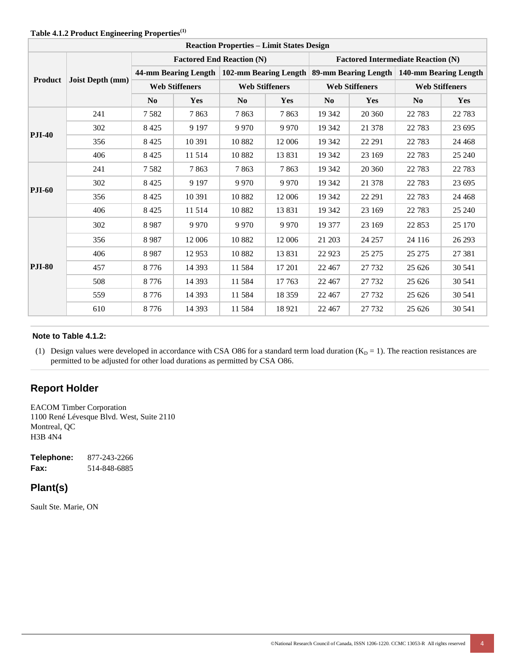| <b>Reaction Properties - Limit States Design</b> |                  |                                  |                                                                                             |                       |          |                                           |         |                       |         |
|--------------------------------------------------|------------------|----------------------------------|---------------------------------------------------------------------------------------------|-----------------------|----------|-------------------------------------------|---------|-----------------------|---------|
| <b>Product</b>                                   |                  | <b>Factored End Reaction (N)</b> |                                                                                             |                       |          | <b>Factored Intermediate Reaction (N)</b> |         |                       |         |
|                                                  | Joist Depth (mm) |                                  | 44-mm Bearing Length   102-mm Bearing Length   89-mm Bearing Length   140-mm Bearing Length |                       |          |                                           |         |                       |         |
|                                                  |                  | <b>Web Stiffeners</b>            |                                                                                             | <b>Web Stiffeners</b> |          | <b>Web Stiffeners</b>                     |         | <b>Web Stiffeners</b> |         |
|                                                  |                  | No                               | Yes                                                                                         | No                    | Yes      | No                                        | Yes     | N <sub>0</sub>        | Yes     |
| <b>PJI-40</b>                                    | 241              | 7582                             | 7863                                                                                        | 7863                  | 7863     | 19 342                                    | 20 360  | 22 7 83               | 22 7 83 |
|                                                  | 302              | 8425                             | 9 1 9 7                                                                                     | 9 9 7 0               | 9 9 7 0  | 19 342                                    | 21 378  | 22 7 8 3              | 23 695  |
|                                                  | 356              | 8 4 2 5                          | 10 391                                                                                      | 10882                 | 12 006   | 19 342                                    | 22 29 1 | 22 7 83               | 24 4 68 |
|                                                  | 406              | 8 4 2 5                          | 11 514                                                                                      | 10882                 | 13 831   | 19 342                                    | 23 169  | 22 7 83               | 25 240  |
| <b>PJI-60</b>                                    | 241              | 7582                             | 7863                                                                                        | 7863                  | 7863     | 19 342                                    | 20 360  | 22 7 83               | 22 7 83 |
|                                                  | 302              | 8 4 2 5                          | 9 1 9 7                                                                                     | 9 9 7 0               | 9 9 7 0  | 19 342                                    | 21 378  | 22 7 83               | 23 695  |
|                                                  | 356              | 8 4 2 5                          | 10 391                                                                                      | 10882                 | 12 006   | 19 342                                    | 22 29 1 | 22 7 83               | 24 4 68 |
|                                                  | 406              | 8 4 2 5                          | 11 514                                                                                      | 10882                 | 13831    | 19 342                                    | 23 169  | 22 7 83               | 25 240  |
| <b>PJI-80</b>                                    | 302              | 8987                             | 9 9 7 0                                                                                     | 9 9 7 0               | 9 9 7 0  | 19 377                                    | 23 169  | 22 853                | 25 170  |
|                                                  | 356              | 8987                             | 12 006                                                                                      | 10882                 | 12 006   | 21 203                                    | 24 257  | 24 116                | 26 29 3 |
|                                                  | 406              | 8987                             | 12 9 53                                                                                     | 10882                 | 13831    | 22 9 23                                   | 25 27 5 | 25 27 5               | 27 381  |
|                                                  | 457              | 8776                             | 14 3 93                                                                                     | 11 584                | 17 201   | 22 4 67                                   | 27 732  | 25 626                | 30 541  |
|                                                  | 508              | 8 7 7 6                          | 14 3 9 3                                                                                    | 11 584                | 17 763   | 22 4 67                                   | 27 732  | 25 6 26               | 30 541  |
|                                                  | 559              | 8776                             | 14 3 93                                                                                     | 11 5 8 4              | 18 3 5 9 | 22 4 67                                   | 27 732  | 25 626                | 30 541  |
|                                                  | 610              | 8776                             | 14 3 93                                                                                     | 11 584                | 18 9 21  | 22 4 67                                   | 27 732  | 25 626                | 30 541  |

## **Table 4.1.2 Product Engineering Properties[\(1\)](#page-3-0)**

#### <span id="page-3-0"></span>**Note to Table 4.1.2:**

(1) Design values were developed in accordance with CSA O86 for a standard term load duration  $(K_D = 1)$ . The reaction resistances are permitted to be adjusted for other load durations as permitted by CSA O86.

## **Report Holder**

EACOM Timber Corporation 1100 René Lévesque Blvd. West, Suite 2110 Montreal, QC H3B 4N4

**Telephone:** 877-243-2266 **Fax:** 514-848-6885

# **Plant(s)**

Sault Ste. Marie, ON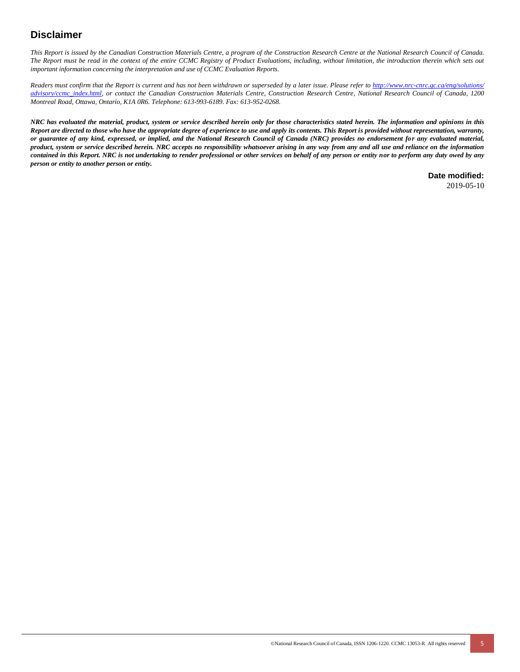# **Disclaimer**

*This Report is issued by the Canadian Construction Materials Centre, a program of the Construction Research Centre at the National Research Council of Canada. The Report must be read in the context of the entire CCMC Registry of Product Evaluations, including, without limitation, the introduction therein which sets out important information concerning the interpretation and use of CCMC Evaluation Reports.*

*Readers must confirm that the Report is current and has not been withdrawn or superseded by a later issue. Please refer to [http://www.nrc-cnrc.gc.ca/eng/solutions/](http://www.nrc-cnrc.gc.ca/eng/solutions/advisory/ccmc_index.html) [advisory/ccmc\\_index.html,](http://www.nrc-cnrc.gc.ca/eng/solutions/advisory/ccmc_index.html) or contact the Canadian Construction Materials Centre, Construction Research Centre, National Research Council of Canada, 1200 Montreal Road, Ottawa, Ontario, K1A 0R6. Telephone: 613-993-6189. Fax: 613-952-0268.*

*NRC has evaluated the material, product, system or service described herein only for those characteristics stated herein. The information and opinions in this Report are directed to those who have the appropriate degree of experience to use and apply its contents. This Report is provided without representation, warranty, or guarantee of any kind, expressed, or implied, and the National Research Council of Canada (NRC) provides no endorsement for any evaluated material, product, system or service described herein. NRC accepts no responsibility whatsoever arising in any way from any and all use and reliance on the information contained in this Report. NRC is not undertaking to render professional or other services on behalf of any person or entity nor to perform any duty owed by any person or entity to another person or entity.*

**Date modified:**

2019-05-10